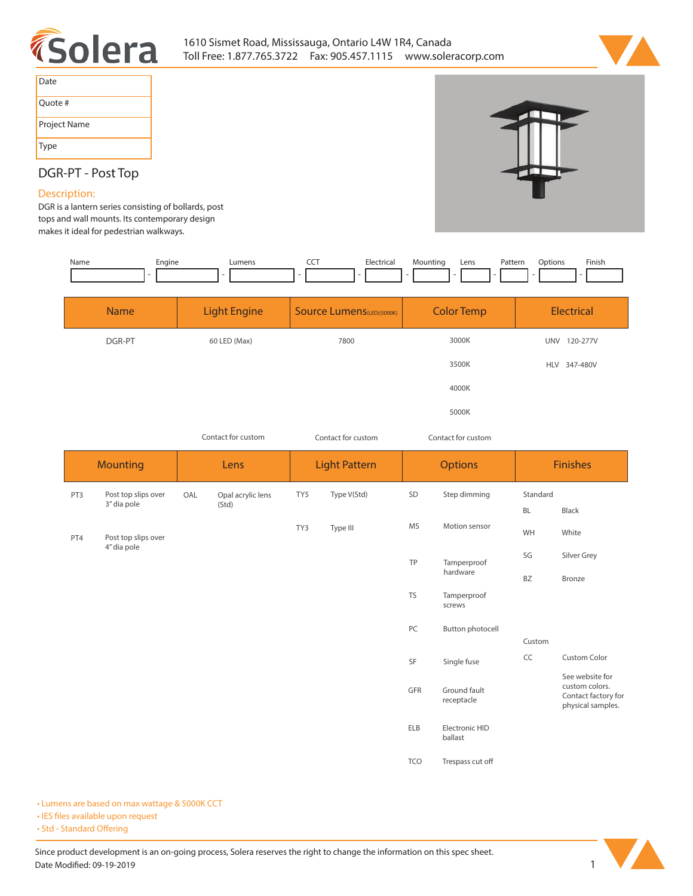



| Date         |
|--------------|
| Quote #      |
| Project Name |
| Type         |



# **DGR-PT - Post Top**

### **Description:**

**DGR is a lantern series consisting of bollards, post tops and wall mounts. Its contemporary design makes it ideal for pedestrian walkways.** 

| Engine<br>Name | Lumens              | CCT<br>Electrical         | Mounting<br>Lens | Finish<br>Options<br>Pattern       |
|----------------|---------------------|---------------------------|------------------|------------------------------------|
|                |                     | .                         | $\sim$           | $\sim$<br>$\overline{\phantom{0}}$ |
|                |                     |                           |                  |                                    |
| Name           | <b>Light Engine</b> | Source Lumens(LED)(5000K) | Color Temp       | Electrical                         |

| .      | --------------- |      |       | ---------    |
|--------|-----------------|------|-------|--------------|
| DGR-PT | 60 LED (Max)    | 7800 | 3000K | UNV 120-277V |
|        |                 |      | 3500K | HLV 347-480V |
|        |                 |      | 4000K |              |
|        |                 |      | 5000K |              |

| Contact for custom |  |
|--------------------|--|

*Contact for custom*

*Contact for custom Contact for custom*

| <b>Mounting</b> |                                    |     | Lens              |     | <b>Light Pattern</b> |            | <b>Options</b>             |           | <b>Finishes</b>                                                               |
|-----------------|------------------------------------|-----|-------------------|-----|----------------------|------------|----------------------------|-----------|-------------------------------------------------------------------------------|
| PT3             | Post top slips over                | OAL | Opal acrylic lens | TY5 | Type V(Std)          | SD         | Step dimming               | Standard  |                                                                               |
|                 | 3" dia pole                        |     | (Std)             |     |                      |            |                            | <b>BL</b> | Black                                                                         |
| PT4             | Post top slips over<br>4" dia pole |     |                   | TY3 | Type III             | <b>MS</b>  | Motion sensor              | WH        | White                                                                         |
|                 |                                    |     |                   |     |                      | TP         | Tamperproof                | SG        | Silver Grey                                                                   |
|                 |                                    |     |                   |     |                      |            | hardware                   | <b>BZ</b> | Bronze                                                                        |
|                 |                                    |     |                   |     |                      | <b>TS</b>  | Tamperproof<br>screws      |           |                                                                               |
|                 |                                    |     |                   |     |                      | PC         | Button photocell           |           |                                                                               |
|                 |                                    |     |                   |     |                      |            |                            | Custom    |                                                                               |
|                 |                                    |     |                   |     |                      | SF         | Single fuse                | CC        | <b>Custom Color</b>                                                           |
|                 |                                    |     |                   |     |                      | GFR        | Ground fault<br>receptacle |           | See website for<br>custom colors.<br>Contact factory for<br>physical samples. |
|                 |                                    |     |                   |     |                      | ELB        | Electronic HID<br>ballast  |           |                                                                               |
|                 |                                    |     |                   |     |                      | <b>TCO</b> | Trespass cut off           |           |                                                                               |

**• Lumens are based on max wattage & 5000K CCT**

**• IES files available upon request** 

• Std - Standard Offering

Since product development is an on-going process, Solera reserves the right to change the information on this spec sheet. **Date Modified: 09-19-2019** 1